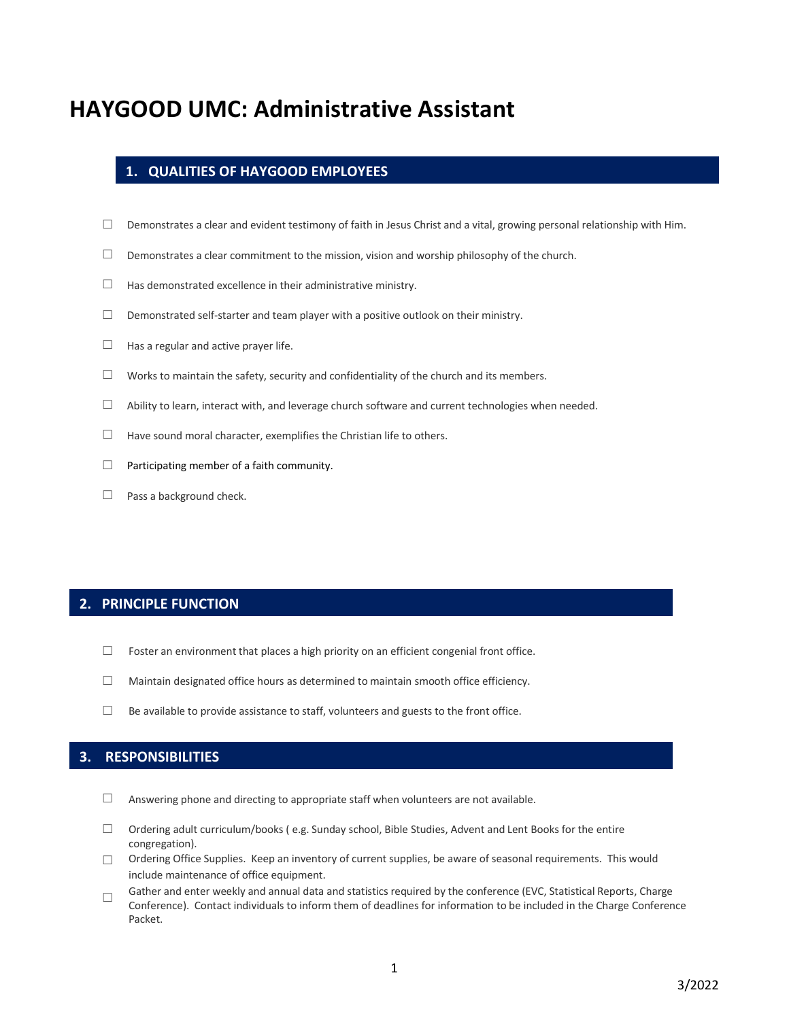# **HAYGOOD UMC: Administrative Assistant**

# **1. QUALITIES OF HAYGOOD EMPLOYEES**

- $\Box$  Demonstrates a clear and evident testimony of faith in Jesus Christ and a vital, growing personal relationship with Him.
- $\Box$  Demonstrates a clear commitment to the mission, vision and worship philosophy of the church.
- $\Box$  Has demonstrated excellence in their administrative ministry.
- $\Box$  Demonstrated self-starter and team player with a positive outlook on their ministry.
- $\Box$  Has a regular and active prayer life.
- $\Box$  Works to maintain the safety, security and confidentiality of the church and its members.
- $\Box$  Ability to learn, interact with, and leverage church software and current technologies when needed.
- $\Box$  Have sound moral character, exemplifies the Christian life to others.
- $\Box$  Participating member of a faith community.
- $□$  Pass a background check.

#### **2. PRINCIPLE FUNCTION**

- $\Box$  Foster an environment that places a high priority on an efficient congenial front office.
- ☐ Maintain designated office hours as determined to maintain smooth office efficiency.
- $\Box$  Be available to provide assistance to staff, volunteers and guests to the front office.

### **3. RESPONSIBILITIES**

- □ Answering phone and directing to appropriate staff when volunteers are not available.
- ☐ Ordering adult curriculum/books ( e.g. Sunday school, Bible Studies, Advent and Lent Books for the entire congregation).
- □ Ordering Office Supplies. Keep an inventory of current supplies, be aware of seasonal requirements. This would include maintenance of office equipment.
- Gather and enter weekly and annual data and statistics required by the conference (EVC, Statistical Reports, Charge Conference). Contact individuals to inform them of deadlines for information to be included in the Charge Conference Packet.